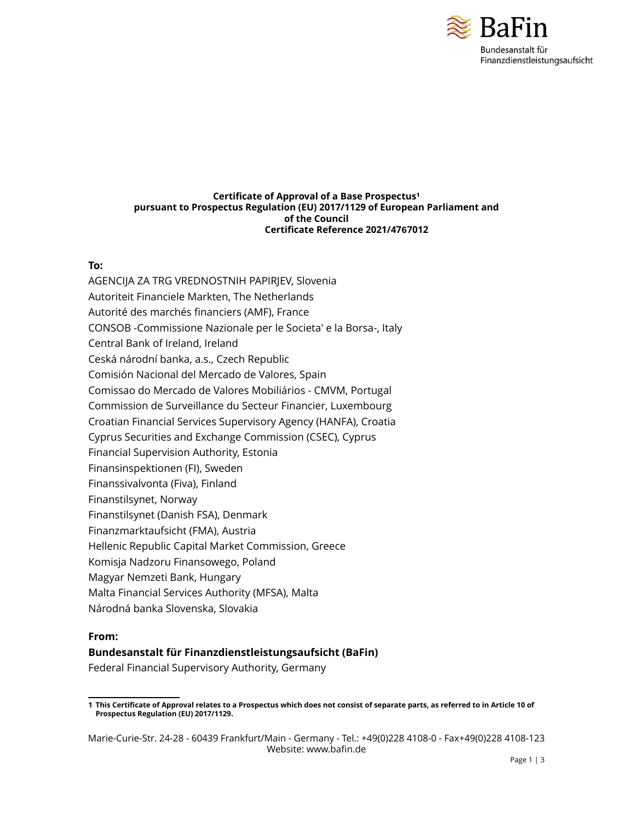

#### **Certificate of Approval of a Base Prospectus<sup>1</sup> pursuant to Prospectus Regulation (EU) 2017/1129 of European Parliament and of the Council Certificate Reference 2021/4767012**

#### **To:**

AGENCIJA ZA TRG VREDNOSTNIH PAPIRJEV, Slovenia Autoriteit Financiele Markten, The Netherlands Autorité des marchés financiers (AMF), France CONSOB -Commissione Nazionale per le Societa' e la Borsa-, Italy Central Bank of Ireland, Ireland Ceská národní banka, a.s., Czech Republic Comisión Nacional del Mercado de Valores, Spain Comissao do Mercado de Valores Mobiliários - CMVM, Portugal Commission de Surveillance du Secteur Financier, Luxembourg Croatian Financial Services Supervisory Agency (HANFA), Croatia Cyprus Securities and Exchange Commission (CSEC), Cyprus Financial Supervision Authority, Estonia Finansinspektionen (FI), Sweden Finanssivalvonta (Fiva), Finland Finanstilsynet, Norway Finanstilsynet (Danish FSA), Denmark Finanzmarktaufsicht (FMA), Austria Hellenic Republic Capital Market Commission, Greece Komisja Nadzoru Finansowego, Poland Magyar Nemzeti Bank, Hungary Malta Financial Services Authority (MFSA), Malta Národná banka Slovenska, Slovakia

## **From:**

## **Bundesanstalt für Finanzdienstleistungsaufsicht (BaFin)**

Federal Financial Supervisory Authority, Germany

<sup>1</sup> This Certificate of Approval relates to a Prospectus which does not consist of separate parts, as referred to in Article 10 of **Prospectus Regulation (EU) 2017/1129.**

Marie-Curie-Str. 24-28 - 60439 Frankfurt/Main - Germany - Tel.: +49(0)228 4108-0 - Fax+49(0)228 4108-123 Website: www.bafin.de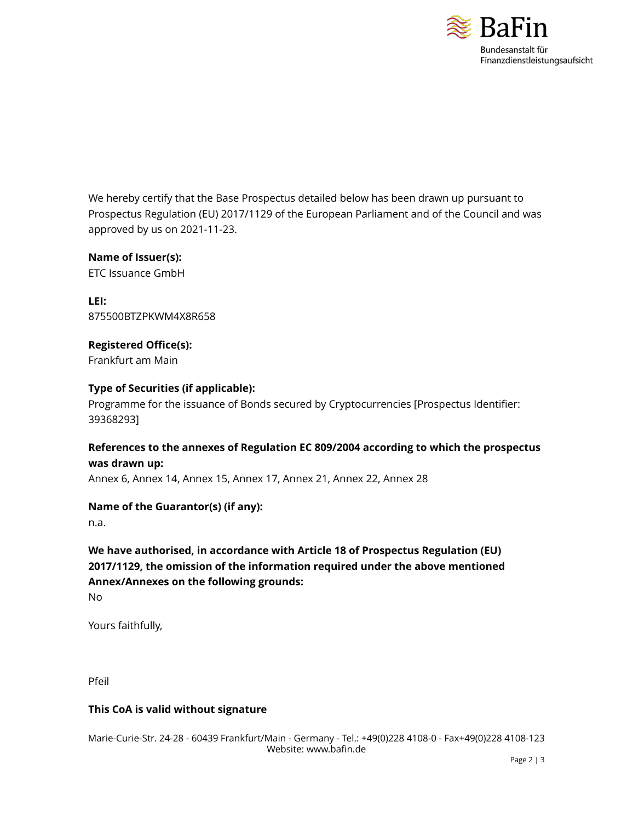

We hereby certify that the Base Prospectus detailed below has been drawn up pursuant to Prospectus Regulation (EU) 2017/1129 of the European Parliament and of the Council and was approved by us on 2021-11-23.

**Name of Issuer(s):** ETC Issuance GmbH

**LEI:** 875500BTZPKWM4X8R658

**Registered Office(s):** Frankfurt am Main

# **Type of Securities (if applicable):**

Programme for the issuance of Bonds secured by Cryptocurrencies [Prospectus Identifier: 39368293]

# **References to the annexes of Regulation EC 809/2004 according to which the prospectus was drawn up:**

Annex 6, Annex 14, Annex 15, Annex 17, Annex 21, Annex 22, Annex 28

## **Name of the Guarantor(s) (if any):**

n.a.

# **We have authorised, in accordance with Article 18 of Prospectus Regulation (EU) 2017/1129, the omission of the information required under the above mentioned Annex/Annexes on the following grounds:**

No

Yours faithfully,

Pfeil

# **This CoA is valid without signature**